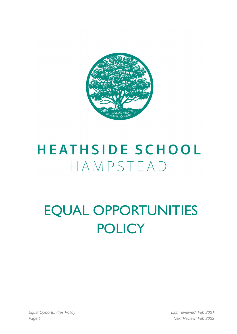

## **HEATHSIDE SCHOOL** HAMPSTEAD

## EQUAL OPPORTUNITIES **POLICY**

*Equal Opportunities Policy Last reviewed: Feb 2021 Page 1 Next Review: Feb 2022*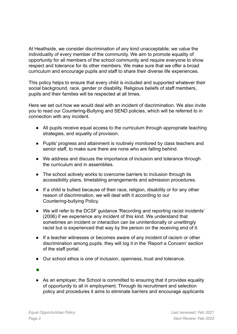At Heathside, we consider discrimination of any kind unacceptable; we value the individuality of every member of the community. We aim to promote equality of opportunity for all members of the school community and require everyone to show respect and tolerance for its other members. We make sure that we offer a broad curriculum and encourage pupils and staff to share their diverse life experiences.

This policy helps to ensure that every child is included and supported whatever their social background, race, gender or disability. Religious beliefs of staff members, pupils and their families will be respected at all times.

Here we set out how we would deal with an incident of discrimination. We also invite you to read our Countering-Bullying and SEND policies, which will be referred to in connection with any incident.

- All pupils receive equal access to the curriculum through appropriate teaching strategies, and equality of provision.
- Pupils' progress and attainment is routinely monitored by class teachers and senior staff, to make sure there are none who are falling behind.
- We address and discuss the importance of inclusion and tolerance through the curriculum and in assemblies.
- The school actively works to overcome barriers to inclusion through its accessibility plans, timetabling arrangements and admission procedures.
- If a child is bullied because of their race, religion, disability or for any other reason of discrimination, we will deal with it according to our Countering-bullying Policy.
- We will refer to the DCSF guidance 'Recording and reporting racist incidents' (2006) if we experience any incident of this kind. We understand that sometimes an incident or interaction can be unintentionally or unwittingly racist but is experienced that way by the person on the receiving end of it.
- If a teacher witnesses or becomes aware of any incident of racism or other discrimination among pupils, they will log it in the 'Report a Concern' section of the staff portal.
- Our school ethos is one of inclusion, openness, trust and tolerance.
- ●
- As an employer, the School is committed to ensuring that it provides equality of opportunity to all in employment. Through its recruitment and selection policy and procedures it aims to eliminate barriers and encourage applicants